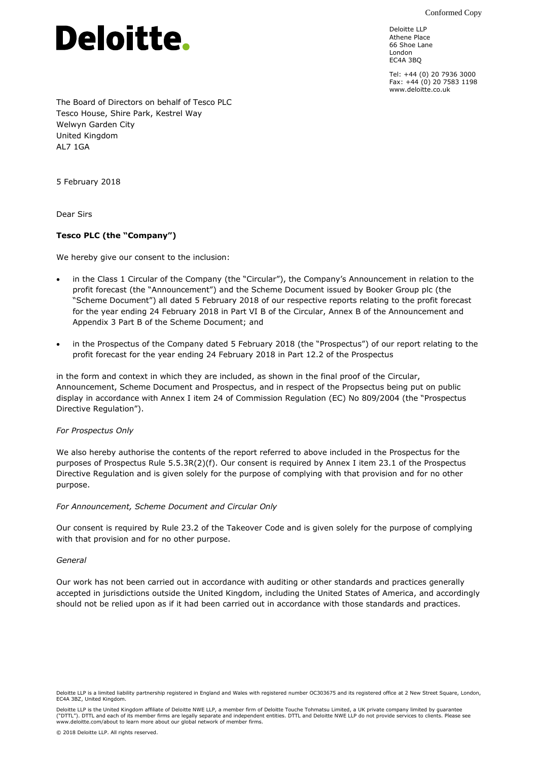Conformed Copy



Deloitte LLP Athene Place 66 Shoe Lane London EC4A 3BQ

Tel: +44 (0) 20 7936 3000 Fax: +44 (0) 20 7583 1198 www.deloitte.co.uk

The Board of Directors on behalf of Tesco PLC Tesco House, Shire Park, Kestrel Way Welwyn Garden City United Kingdom AL7 1GA

5 February 2018

Dear Sirs

## **Tesco PLC (the "Company")**

We hereby give our consent to the inclusion:

- in the Class 1 Circular of the Company (the "Circular"), the Company's Announcement in relation to the profit forecast (the "Announcement") and the Scheme Document issued by Booker Group plc (the "Scheme Document") all dated 5 February 2018 of our respective reports relating to the profit forecast for the year ending 24 February 2018 in Part VI B of the Circular, Annex B of the Announcement and Appendix 3 Part B of the Scheme Document; and
- in the Prospectus of the Company dated 5 February 2018 (the "Prospectus") of our report relating to the profit forecast for the year ending 24 February 2018 in Part 12.2 of the Prospectus

in the form and context in which they are included, as shown in the final proof of the Circular, Announcement, Scheme Document and Prospectus, and in respect of the Propsectus being put on public display in accordance with Annex I item 24 of Commission Regulation (EC) No 809/2004 (the "Prospectus Directive Regulation").

## *For Prospectus Only*

We also hereby authorise the contents of the report referred to above included in the Prospectus for the purposes of Prospectus Rule 5.5.3R(2)(f). Our consent is required by Annex I item 23.1 of the Prospectus Directive Regulation and is given solely for the purpose of complying with that provision and for no other purpose.

## *For Announcement, Scheme Document and Circular Only*

Our consent is required by Rule 23.2 of the Takeover Code and is given solely for the purpose of complying with that provision and for no other purpose.

## *General*

Our work has not been carried out in accordance with auditing or other standards and practices generally accepted in jurisdictions outside the United Kingdom, including the United States of America, and accordingly should not be relied upon as if it had been carried out in accordance with those standards and practices.

Deloitte LLP is the United Kingdom affiliate of Deloitte NWE LLP, a member firm of Deloitte Touche Tohmatsu Limited, a UK private company limited by guarantee ("DTTL"). DTTL and each of its member firms are legally separate and independent entities. DTTL and Deloitte NWE LLP do not provide services to clients. Please see<br>www.deloitte.com/about to learn more about our global netw

Deloitte LLP is a limited liability partnership registered in England and Wales with registered number OC303675 and its registered office at 2 New Street Square, London, EC4A 3BZ, United Kingdom.